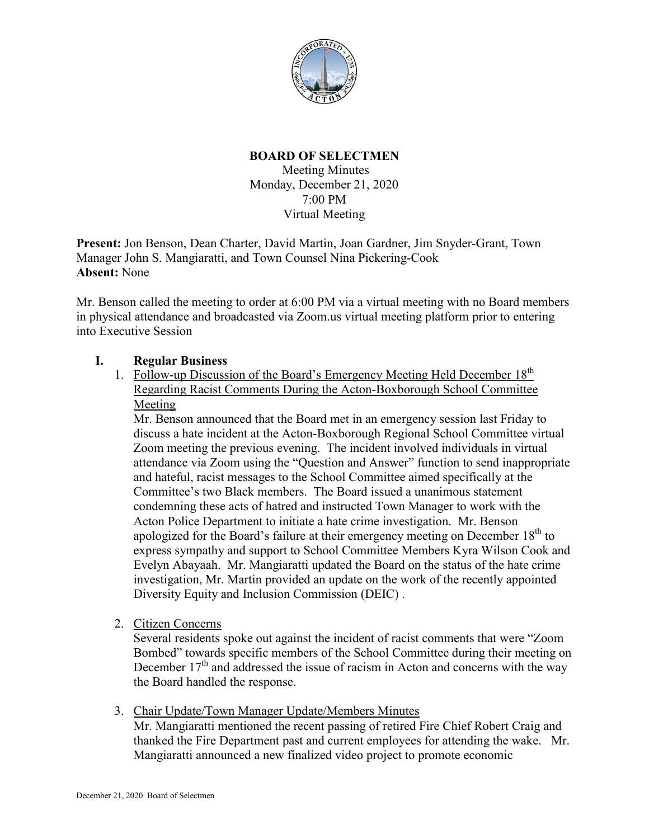

#### **BOARD OF SELECTMEN**

Meeting Minutes Monday, December 21, 2020 7:00 PM Virtual Meeting

**Present:** Jon Benson, Dean Charter, David Martin, Joan Gardner, Jim Snyder-Grant, Town Manager John S. Mangiaratti, and Town Counsel Nina Pickering-Cook **Absent:** None

Mr. Benson called the meeting to order at 6:00 PM via a virtual meeting with no Board members in physical attendance and broadcasted via Zoom.us virtual meeting platform prior to entering into Executive Session

#### **I. Regular Business**

1. Follow-up Discussion of the Board's Emergency Meeting Held December 18<sup>th</sup> Regarding Racist Comments During the Acton-Boxborough School Committee Meeting

Mr. Benson announced that the Board met in an emergency session last Friday to discuss a hate incident at the Acton-Boxborough Regional School Committee virtual Zoom meeting the previous evening. The incident involved individuals in virtual attendance via Zoom using the "Question and Answer" function to send inappropriate and hateful, racist messages to the School Committee aimed specifically at the Committee's two Black members. The Board issued a unanimous statement condemning these acts of hatred and instructed Town Manager to work with the Acton Police Department to initiate a hate crime investigation. Mr. Benson apologized for the Board's failure at their emergency meeting on December  $18<sup>th</sup>$  to express sympathy and support to School Committee Members Kyra Wilson Cook and Evelyn Abayaah. Mr. Mangiaratti updated the Board on the status of the hate crime investigation, Mr. Martin provided an update on the work of the recently appointed Diversity Equity and Inclusion Commission (DEIC) .

2. Citizen Concerns

Several residents spoke out against the incident of racist comments that were "Zoom Bombed" towards specific members of the School Committee during their meeting on December  $17<sup>th</sup>$  and addressed the issue of racism in Acton and concerns with the way the Board handled the response.

3. Chair Update/Town Manager Update/Members Minutes

Mr. Mangiaratti mentioned the recent passing of retired Fire Chief Robert Craig and thanked the Fire Department past and current employees for attending the wake. Mr. Mangiaratti announced a new finalized video project to promote economic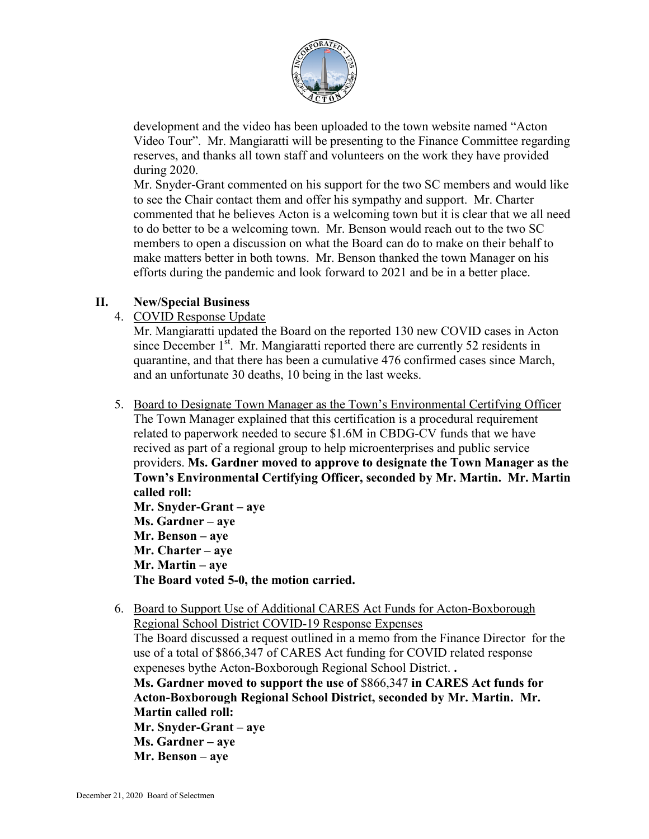

development and the video has been uploaded to the town website named "Acton Video Tour". Mr. Mangiaratti will be presenting to the Finance Committee regarding reserves, and thanks all town staff and volunteers on the work they have provided during 2020.

Mr. Snyder-Grant commented on his support for the two SC members and would like to see the Chair contact them and offer his sympathy and support. Mr. Charter commented that he believes Acton is a welcoming town but it is clear that we all need to do better to be a welcoming town. Mr. Benson would reach out to the two SC members to open a discussion on what the Board can do to make on their behalf to make matters better in both towns. Mr. Benson thanked the town Manager on his efforts during the pandemic and look forward to 2021 and be in a better place.

## **II. New/Special Business**

4. COVID Response Update

Mr. Mangiaratti updated the Board on the reported 130 new COVID cases in Acton since December  $1<sup>st</sup>$ . Mr. Mangiaratti reported there are currently 52 residents in quarantine, and that there has been a cumulative 476 confirmed cases since March, and an unfortunate 30 deaths, 10 being in the last weeks.

5. Board to Designate Town Manager as the Town's Environmental Certifying Officer The Town Manager explained that this certification is a procedural requirement related to paperwork needed to secure \$1.6M in CBDG-CV funds that we have recived as part of a regional group to help microenterprises and public service providers. **Ms. Gardner moved to approve to designate the Town Manager as the Town's Environmental Certifying Officer, seconded by Mr. Martin. Mr. Martin called roll: Mr. Snyder-Grant – aye**

**Ms. Gardner – aye Mr. Benson – aye Mr. Charter – aye Mr. Martin – aye The Board voted 5-0, the motion carried.**

6. Board to Support Use of Additional CARES Act Funds for Acton-Boxborough Regional School District COVID-19 Response Expenses The Board discussed a request outlined in a memo from the Finance Director for the use of a total of \$866,347 of CARES Act funding for COVID related response expeneses bythe Acton-Boxborough Regional School District. **. Ms. Gardner moved to support the use of** \$866,347 **in CARES Act funds for Acton-Boxborough Regional School District, seconded by Mr. Martin. Mr. Martin called roll: Mr. Snyder-Grant – aye Ms. Gardner – aye Mr. Benson – aye**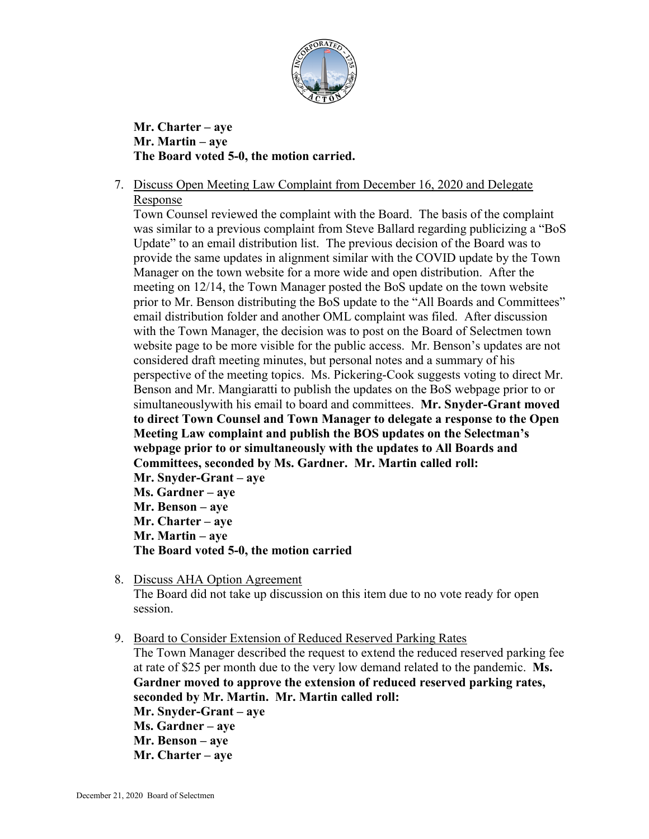

**Mr. Charter – aye Mr. Martin – aye The Board voted 5-0, the motion carried.**

7. Discuss Open Meeting Law Complaint from December 16, 2020 and Delegate Response

Town Counsel reviewed the complaint with the Board. The basis of the complaint was similar to a previous complaint from Steve Ballard regarding publicizing a "BoS Update" to an email distribution list. The previous decision of the Board was to provide the same updates in alignment similar with the COVID update by the Town Manager on the town website for a more wide and open distribution. After the meeting on 12/14, the Town Manager posted the BoS update on the town website prior to Mr. Benson distributing the BoS update to the "All Boards and Committees" email distribution folder and another OML complaint was filed. After discussion with the Town Manager, the decision was to post on the Board of Selectmen town website page to be more visible for the public access. Mr. Benson's updates are not considered draft meeting minutes, but personal notes and a summary of his perspective of the meeting topics. Ms. Pickering-Cook suggests voting to direct Mr. Benson and Mr. Mangiaratti to publish the updates on the BoS webpage prior to or simultaneouslywith his email to board and committees. **Mr. Snyder-Grant moved to direct Town Counsel and Town Manager to delegate a response to the Open Meeting Law complaint and publish the BOS updates on the Selectman's webpage prior to or simultaneously with the updates to All Boards and Committees, seconded by Ms. Gardner. Mr. Martin called roll: Mr. Snyder-Grant – aye Ms. Gardner – aye**

**Mr. Benson – aye Mr. Charter – aye Mr. Martin – aye The Board voted 5-0, the motion carried**

8. Discuss AHA Option Agreement The Board did not take up discussion on this item due to no vote ready for open session.

9. Board to Consider Extension of Reduced Reserved Parking Rates The Town Manager described the request to extend the reduced reserved parking fee at rate of \$25 per month due to the very low demand related to the pandemic. **Ms. Gardner moved to approve the extension of reduced reserved parking rates, seconded by Mr. Martin. Mr. Martin called roll: Mr. Snyder-Grant – aye Ms. Gardner – aye Mr. Benson – aye Mr. Charter – aye**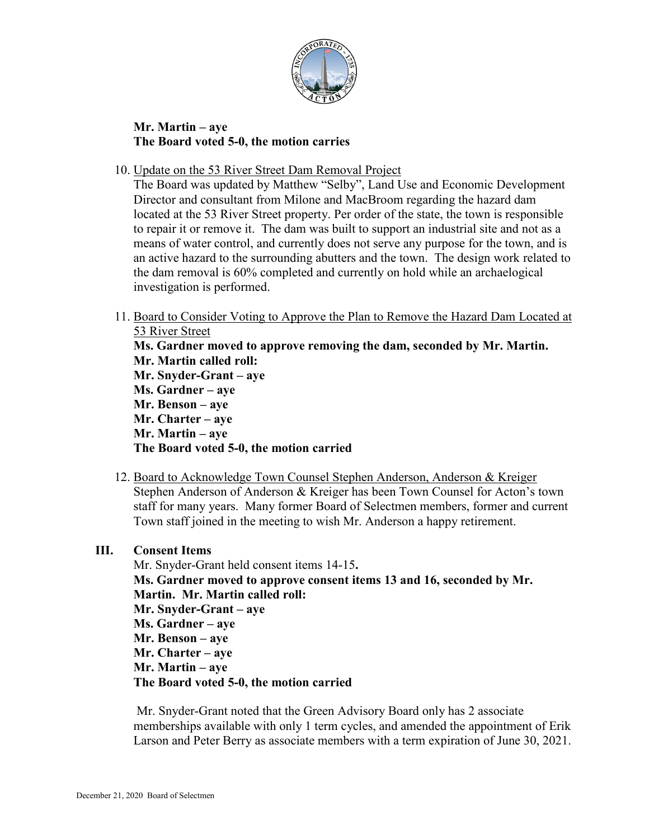

## **Mr. Martin – aye The Board voted 5-0, the motion carries**

10. Update on the 53 River Street Dam Removal Project

The Board was updated by Matthew "Selby", Land Use and Economic Development Director and consultant from Milone and MacBroom regarding the hazard dam located at the 53 River Street property. Per order of the state, the town is responsible to repair it or remove it. The dam was built to support an industrial site and not as a means of water control, and currently does not serve any purpose for the town, and is an active hazard to the surrounding abutters and the town. The design work related to the dam removal is 60% completed and currently on hold while an archaelogical investigation is performed.

- 11. Board to Consider Voting to Approve the Plan to Remove the Hazard Dam Located at 53 River Street **Ms. Gardner moved to approve removing the dam, seconded by Mr. Martin. Mr. Martin called roll: Mr. Snyder-Grant – aye Ms. Gardner – aye Mr. Benson – aye Mr. Charter – aye Mr. Martin – aye The Board voted 5-0, the motion carried**
- 12. Board to Acknowledge Town Counsel Stephen Anderson, Anderson & Kreiger Stephen Anderson of Anderson & Kreiger has been Town Counsel for Acton's town staff for many years. Many former Board of Selectmen members, former and current Town staff joined in the meeting to wish Mr. Anderson a happy retirement.

## **III. Consent Items**

Mr. Snyder-Grant held consent items 14-15**. Ms. Gardner moved to approve consent items 13 and 16, seconded by Mr. Martin. Mr. Martin called roll: Mr. Snyder-Grant – aye Ms. Gardner – aye Mr. Benson – aye Mr. Charter – aye Mr. Martin – aye The Board voted 5-0, the motion carried**

Mr. Snyder-Grant noted that the Green Advisory Board only has 2 associate memberships available with only 1 term cycles, and amended the appointment of Erik Larson and Peter Berry as associate members with a term expiration of June 30, 2021.